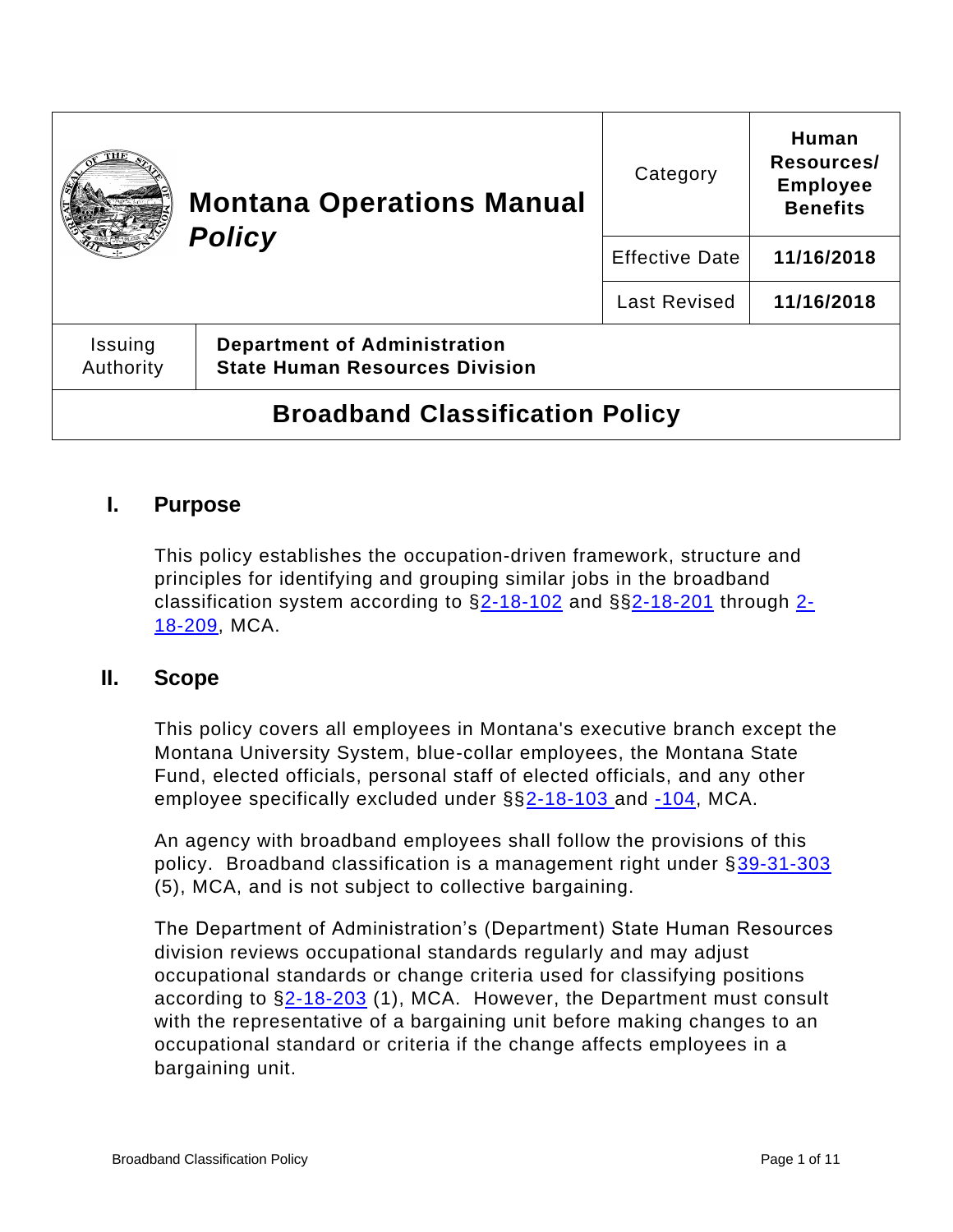|                                        | <b>Montana Operations Manual</b><br><b>Policy</b>                            | Category              | Human<br>Resources/<br><b>Employee</b><br><b>Benefits</b> |
|----------------------------------------|------------------------------------------------------------------------------|-----------------------|-----------------------------------------------------------|
|                                        |                                                                              | <b>Effective Date</b> | 11/16/2018                                                |
|                                        |                                                                              | <b>Last Revised</b>   | 11/16/2018                                                |
| Issuing<br>Authority                   | <b>Department of Administration</b><br><b>State Human Resources Division</b> |                       |                                                           |
| <b>Broadband Classification Policy</b> |                                                                              |                       |                                                           |

# **I. Purpose**

This policy establishes the occupation-driven framework, structure and principles for identifying and grouping similar jobs in the broadband classification system according to  $\S2 - 18 - 102$  and  $\S2 - 18 - 201$  through  $2 - 18$ [18-209,](https://leg.mt.gov/bills/mca/title_0020/chapter_0180/part_0020/section_0090/0020-0180-0020-0090.html) MCA.

## **II. Scope**

This policy covers all employees in Montana's executive branch except the Montana University System, blue-collar employees, the Montana State Fund, elected officials, personal staff of elected officials, and any other employee specifically excluded under §[§2-18-103 a](https://leg.mt.gov/bills/mca/title_0020/chapter_0180/part_0010/section_0030/0020-0180-0010-0030.html)nd [-104,](https://leg.mt.gov/bills/mca/title_0020/chapter_0180/part_0010/section_0040/0020-0180-0010-0040.html) MCA.

An agency with broadband employees shall follow the provisions of this policy. Broadband classification is a management right under [§39-31-303](https://leg.mt.gov/bills/mca/title_0390/chapter_0310/part_0030/section_0030/0390-0310-0030-0030.html) (5), MCA, and is not subject to collective bargaining.

The Department of Administration's (Department) State Human Resources division reviews occupational standards regularly and may adjust occupational standards or change criteria used for classifying positions according to [§2-18-203](https://leg.mt.gov/bills/mca/title_0020/chapter_0180/part_0020/section_0030/0020-0180-0020-0030.html) (1), MCA. However, the Department must consult with the representative of a bargaining unit before making changes to an occupational standard or criteria if the change affects employees in a bargaining unit.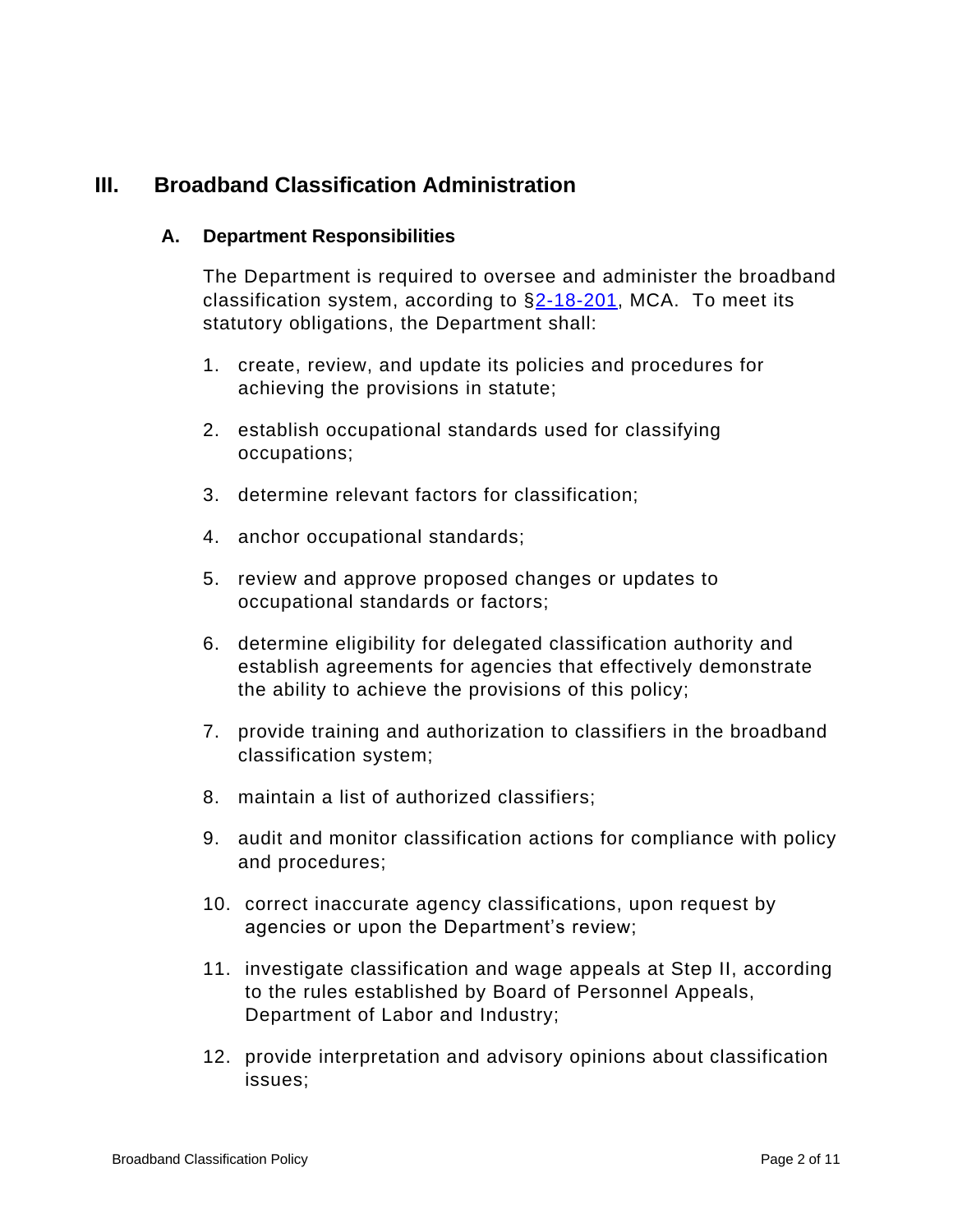# **III. Broadband Classification Administration**

#### **A. Department Responsibilities**

The Department is required to oversee and administer the broadband classification system, according to  $\S2-18-201$ , MCA. To meet its statutory obligations, the Department shall:

- 1. create, review, and update its policies and procedures for achieving the provisions in statute;
- 2. establish occupational standards used for classifying occupations;
- 3. determine relevant factors for classification;
- 4. anchor occupational standards;
- 5. review and approve proposed changes or updates to occupational standards or factors;
- 6. determine eligibility for delegated classification authority and establish agreements for agencies that effectively demonstrate the ability to achieve the provisions of this policy;
- 7. provide training and authorization to classifiers in the broadband classification system;
- 8. maintain a list of authorized classifiers;
- 9. audit and monitor classification actions for compliance with policy and procedures;
- 10. correct inaccurate agency classifications, upon request by agencies or upon the Department's review;
- 11. investigate classification and wage appeals at Step II, according to the rules established by Board of Personnel Appeals, Department of Labor and Industry;
- 12. provide interpretation and advisory opinions about classification issues;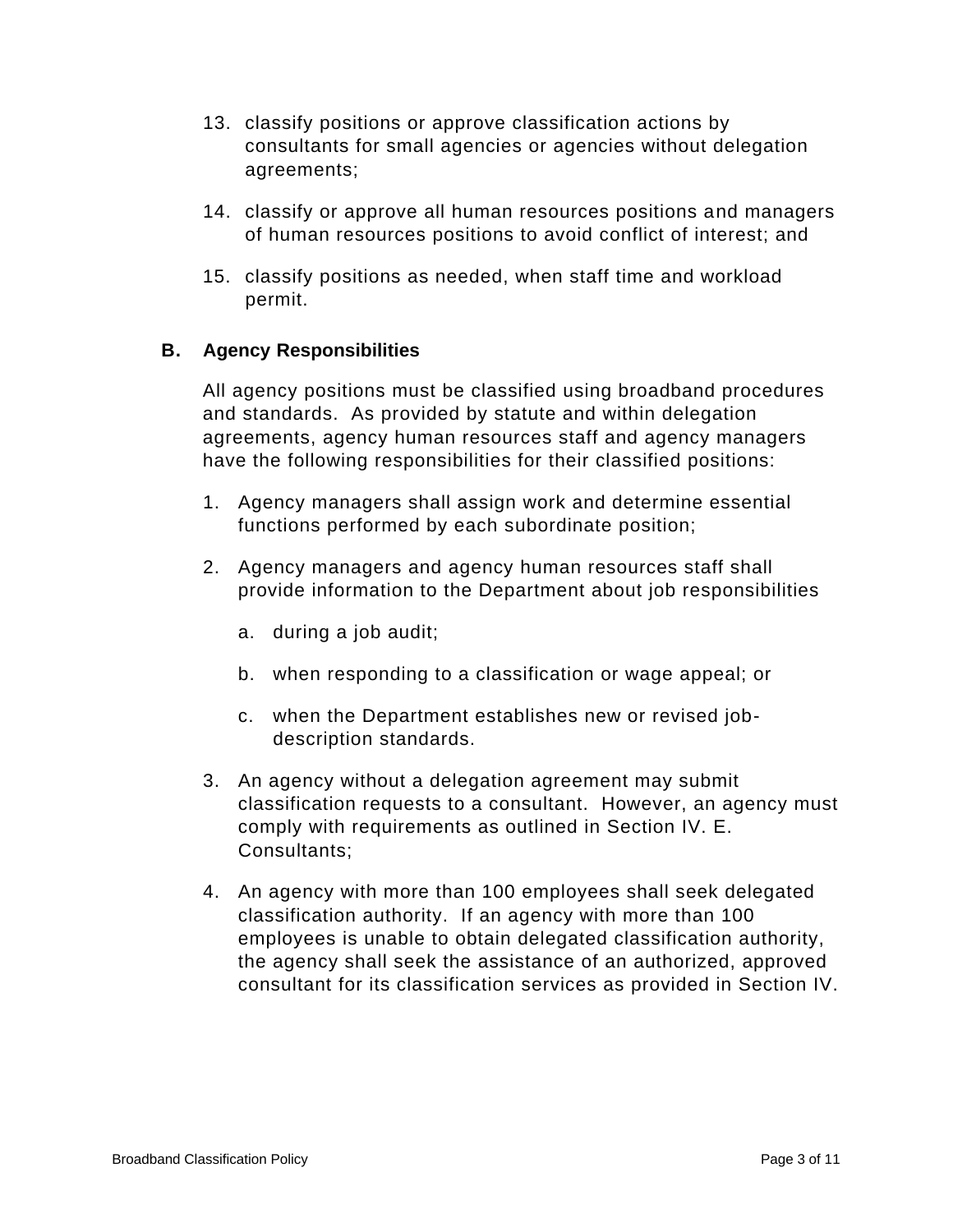- 13. classify positions or approve classification actions by consultants for small agencies or agencies without delegation agreements;
- 14. classify or approve all human resources positions and managers of human resources positions to avoid conflict of interest; and
- 15. classify positions as needed, when staff time and workload permit.

## **B. Agency Responsibilities**

All agency positions must be classified using broadband procedures and standards. As provided by statute and within delegation agreements, agency human resources staff and agency managers have the following responsibilities for their classified positions:

- 1. Agency managers shall assign work and determine essential functions performed by each subordinate position;
- 2. Agency managers and agency human resources staff shall provide information to the Department about job responsibilities
	- a. during a job audit;
	- b. when responding to a classification or wage appeal; or
	- c. when the Department establishes new or revised jobdescription standards.
- 3. An agency without a delegation agreement may submit classification requests to a consultant. However, an agency must comply with requirements as outlined in Section IV. E. Consultants;
- 4. An agency with more than 100 employees shall seek delegated classification authority. If an agency with more than 100 employees is unable to obtain delegated classification authority, the agency shall seek the assistance of an authorized, approved consultant for its classification services as provided in Section IV.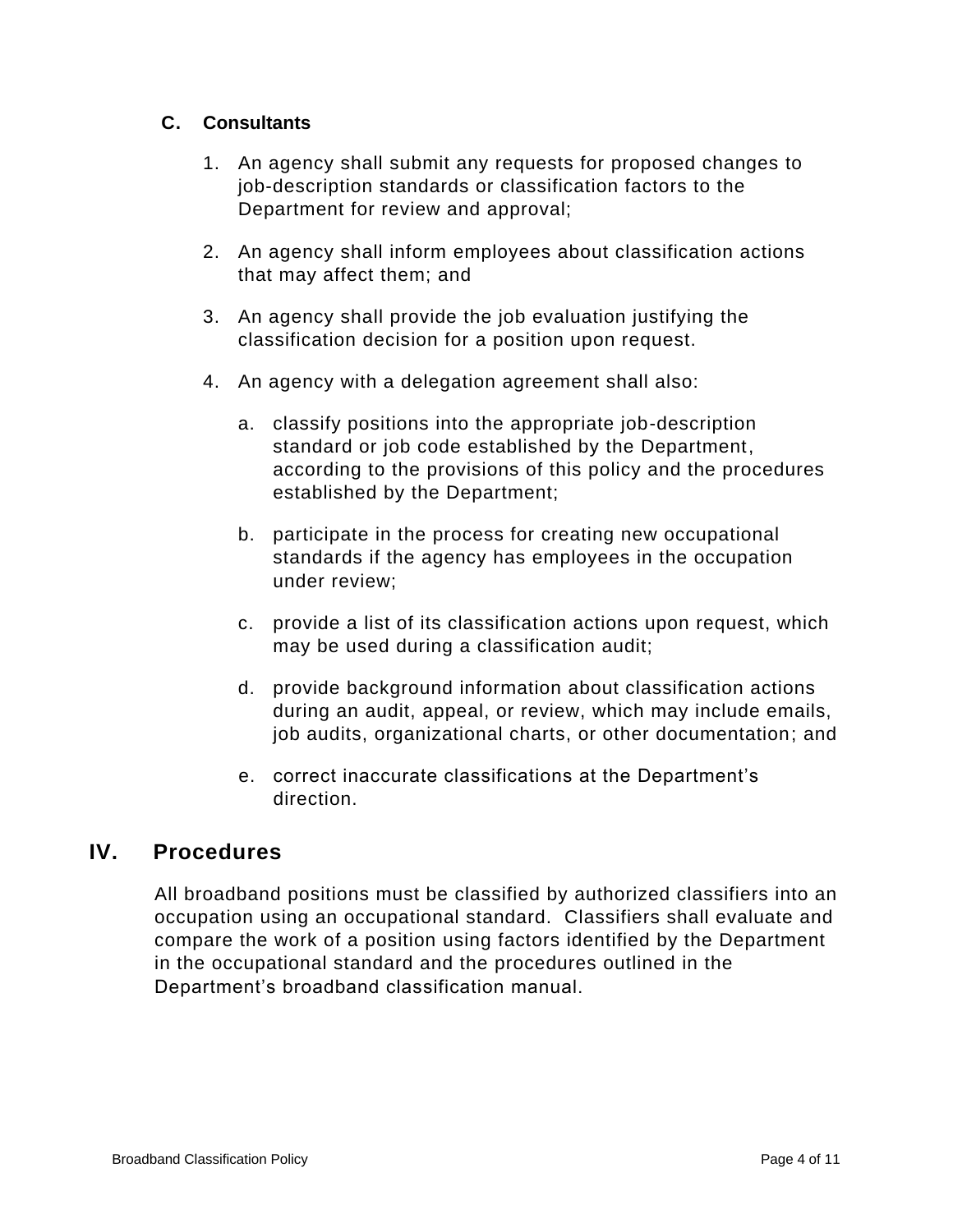#### **C. Consultants**

- 1. An agency shall submit any requests for proposed changes to job-description standards or classification factors to the Department for review and approval;
- 2. An agency shall inform employees about classification actions that may affect them; and
- 3. An agency shall provide the job evaluation justifying the classification decision for a position upon request.
- 4. An agency with a delegation agreement shall also:
	- a. classify positions into the appropriate job-description standard or job code established by the Department, according to the provisions of this policy and the procedures established by the Department;
	- b. participate in the process for creating new occupational standards if the agency has employees in the occupation under review;
	- c. provide a list of its classification actions upon request, which may be used during a classification audit;
	- d. provide background information about classification actions during an audit, appeal, or review, which may include emails, job audits, organizational charts, or other documentation; and
	- e. correct inaccurate classifications at the Department's direction.

## **IV. Procedures**

All broadband positions must be classified by authorized classifiers into an occupation using an occupational standard. Classifiers shall evaluate and compare the work of a position using factors identified by the Department in the occupational standard and the procedures outlined in the Department's broadband classification manual.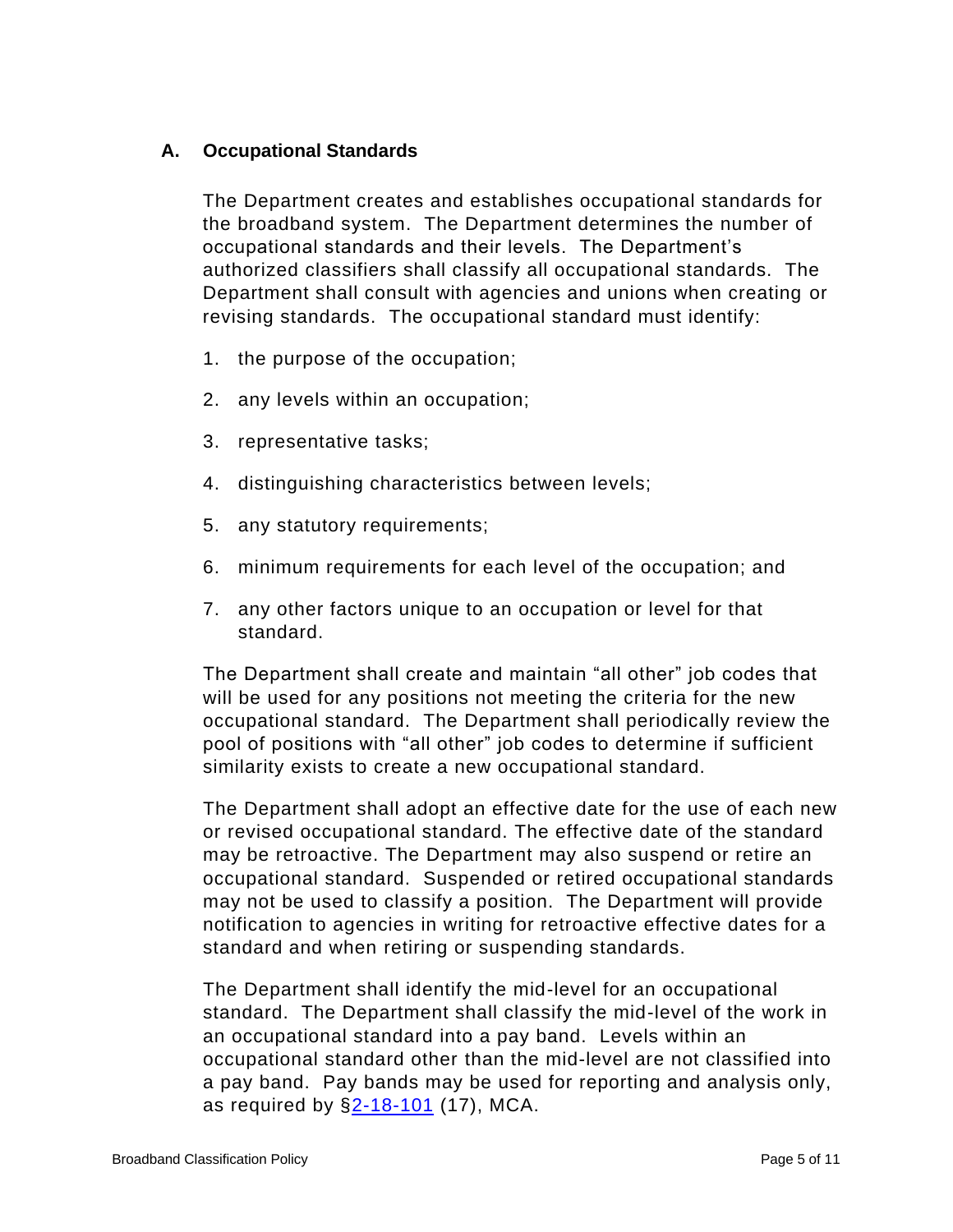#### **A. Occupational Standards**

The Department creates and establishes occupational standards for the broadband system. The Department determines the number of occupational standards and their levels. The Department's authorized classifiers shall classify all occupational standards. The Department shall consult with agencies and unions when creating or revising standards. The occupational standard must identify:

- 1. the purpose of the occupation;
- 2. any levels within an occupation;
- 3. representative tasks;
- 4. distinguishing characteristics between levels;
- 5. any statutory requirements;
- 6. minimum requirements for each level of the occupation; and
- 7. any other factors unique to an occupation or level for that standard.

The Department shall create and maintain "all other" job codes that will be used for any positions not meeting the criteria for the new occupational standard. The Department shall periodically review the pool of positions with "all other" job codes to determine if sufficient similarity exists to create a new occupational standard.

The Department shall adopt an effective date for the use of each new or revised occupational standard. The effective date of the standard may be retroactive. The Department may also suspend or retire an occupational standard. Suspended or retired occupational standards may not be used to classify a position. The Department will provide notification to agencies in writing for retroactive effective dates for a standard and when retiring or suspending standards.

The Department shall identify the mid-level for an occupational standard. The Department shall classify the mid-level of the work in an occupational standard into a pay band. Levels within an occupational standard other than the mid-level are not classified into a pay band. Pay bands may be used for reporting and analysis only, as required by [§2-18-101](https://leg.mt.gov/bills/mca/title_0020/chapter_0180/part_0010/section_0010/0020-0180-0010-0010.html) (17), MCA.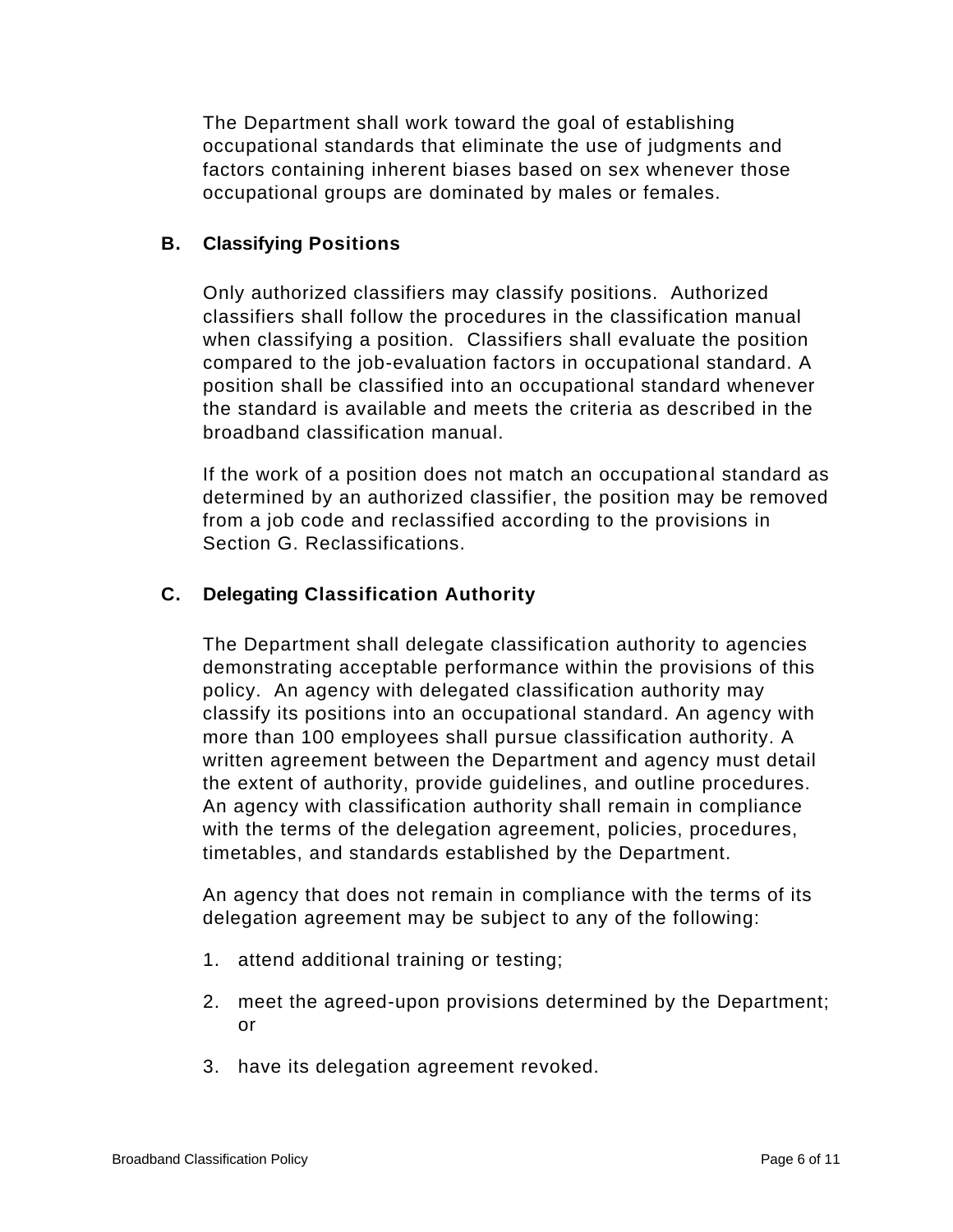The Department shall work toward the goal of establishing occupational standards that eliminate the use of judgments and factors containing inherent biases based on sex whenever those occupational groups are dominated by males or females.

#### **B. Classifying Positions**

Only authorized classifiers may classify positions. Authorized classifiers shall follow the procedures in the classification manual when classifying a position. Classifiers shall evaluate the position compared to the job-evaluation factors in occupational standard. A position shall be classified into an occupational standard whenever the standard is available and meets the criteria as described in the broadband classification manual.

If the work of a position does not match an occupational standard as determined by an authorized classifier, the position may be removed from a job code and reclassified according to the provisions in Section G. Reclassifications.

## **C. Delegating Classification Authority**

The Department shall delegate classification authority to agencies demonstrating acceptable performance within the provisions of this policy. An agency with delegated classification authority may classify its positions into an occupational standard. An agency with more than 100 employees shall pursue classification authority. A written agreement between the Department and agency must detail the extent of authority, provide guidelines, and outline procedures. An agency with classification authority shall remain in compliance with the terms of the delegation agreement, policies, procedures, timetables, and standards established by the Department.

An agency that does not remain in compliance with the terms of its delegation agreement may be subject to any of the following:

- 1. attend additional training or testing;
- 2. meet the agreed-upon provisions determined by the Department; or
- 3. have its delegation agreement revoked.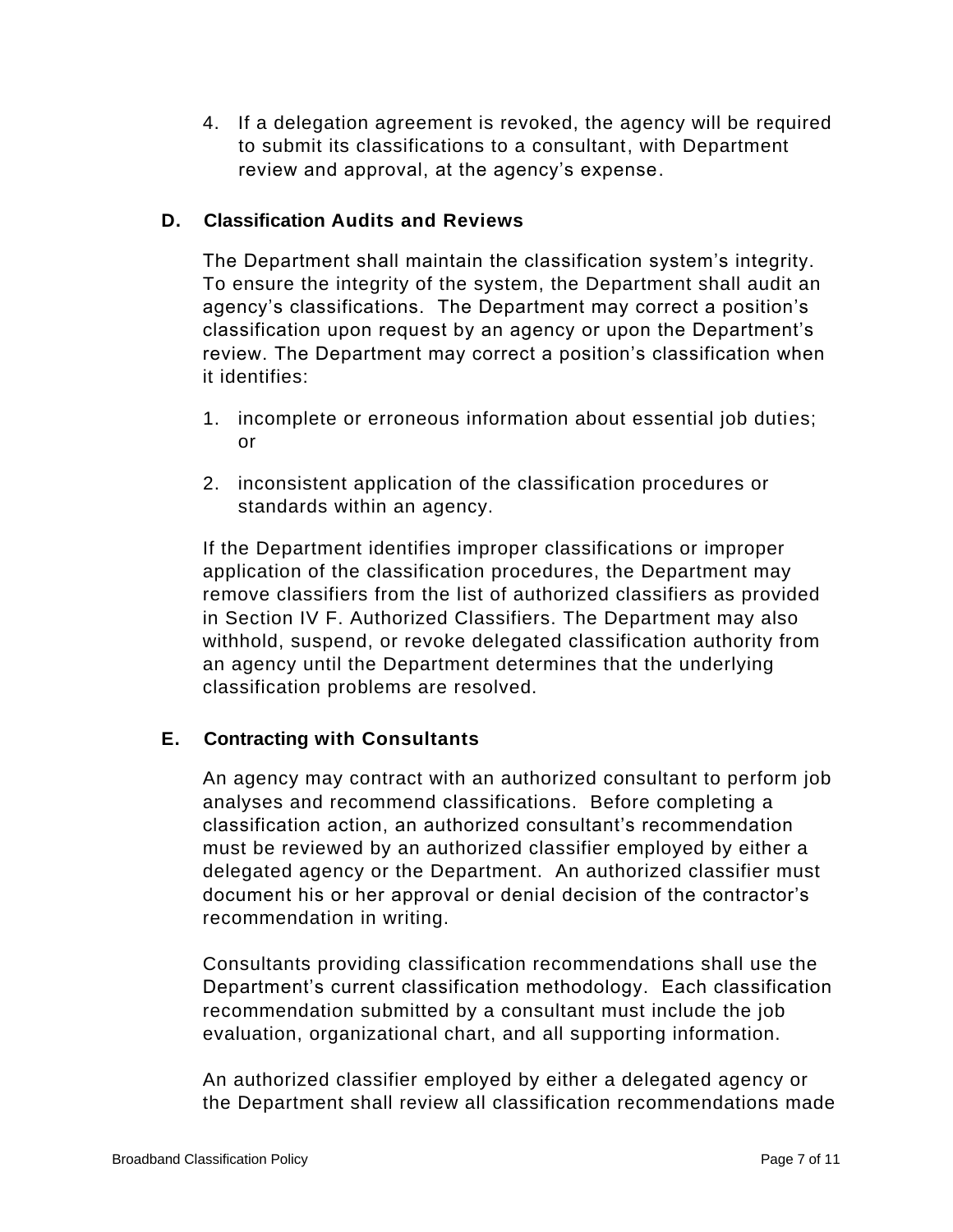4. If a delegation agreement is revoked, the agency will be required to submit its classifications to a consultant, with Department review and approval, at the agency's expense.

#### **D. Classification Audits and Reviews**

The Department shall maintain the classification system's integrity. To ensure the integrity of the system, the Department shall audit an agency's classifications. The Department may correct a position's classification upon request by an agency or upon the Department's review. The Department may correct a position's classification when it identifies:

- 1. incomplete or erroneous information about essential job duties; or
- 2. inconsistent application of the classification procedures or standards within an agency.

If the Department identifies improper classifications or improper application of the classification procedures, the Department may remove classifiers from the list of authorized classifiers as provided in Section IV F. Authorized Classifiers. The Department may also withhold, suspend, or revoke delegated classification authority from an agency until the Department determines that the underlying classification problems are resolved.

## **E. Contracting with Consultants**

An agency may contract with an authorized consultant to perform job analyses and recommend classifications. Before completing a classification action, an authorized consultant's recommendation must be reviewed by an authorized classifier employed by either a delegated agency or the Department. An authorized classifier must document his or her approval or denial decision of the contractor's recommendation in writing.

Consultants providing classification recommendations shall use the Department's current classification methodology. Each classification recommendation submitted by a consultant must include the job evaluation, organizational chart, and all supporting information.

An authorized classifier employed by either a delegated agency or the Department shall review all classification recommendations made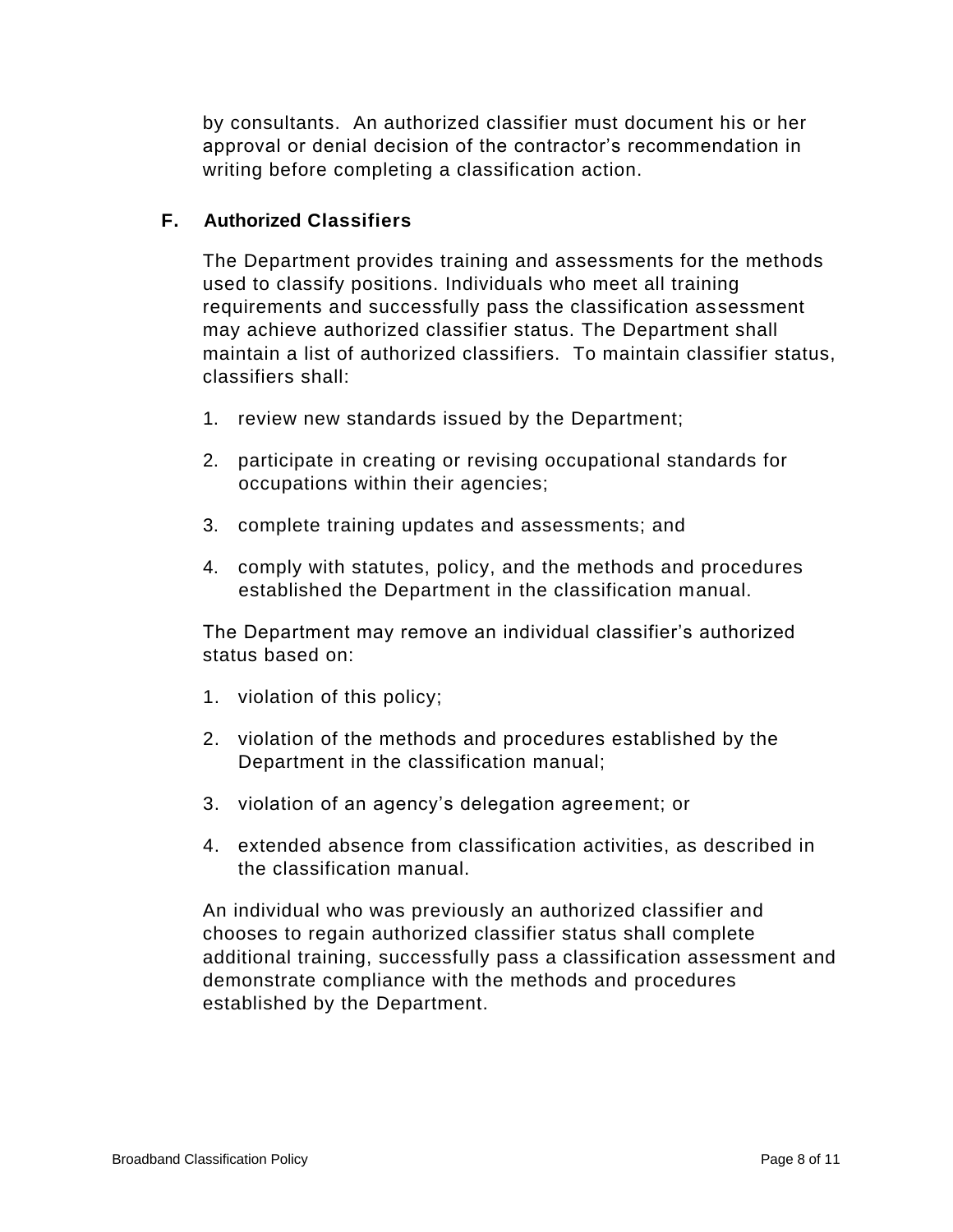by consultants. An authorized classifier must document his or her approval or denial decision of the contractor's recommendation in writing before completing a classification action.

## **F. Authorized Classifiers**

The Department provides training and assessments for the methods used to classify positions. Individuals who meet all training requirements and successfully pass the classification assessment may achieve authorized classifier status. The Department shall maintain a list of authorized classifiers. To maintain classifier status, classifiers shall:

- 1. review new standards issued by the Department;
- 2. participate in creating or revising occupational standards for occupations within their agencies;
- 3. complete training updates and assessments; and
- 4. comply with statutes, policy, and the methods and procedures established the Department in the classification manual.

The Department may remove an individual classifier's authorized status based on:

- 1. violation of this policy;
- 2. violation of the methods and procedures established by the Department in the classification manual;
- 3. violation of an agency's delegation agreement; or
- 4. extended absence from classification activities, as described in the classification manual.

An individual who was previously an authorized classifier and chooses to regain authorized classifier status shall complete additional training, successfully pass a classification assessment and demonstrate compliance with the methods and procedures established by the Department.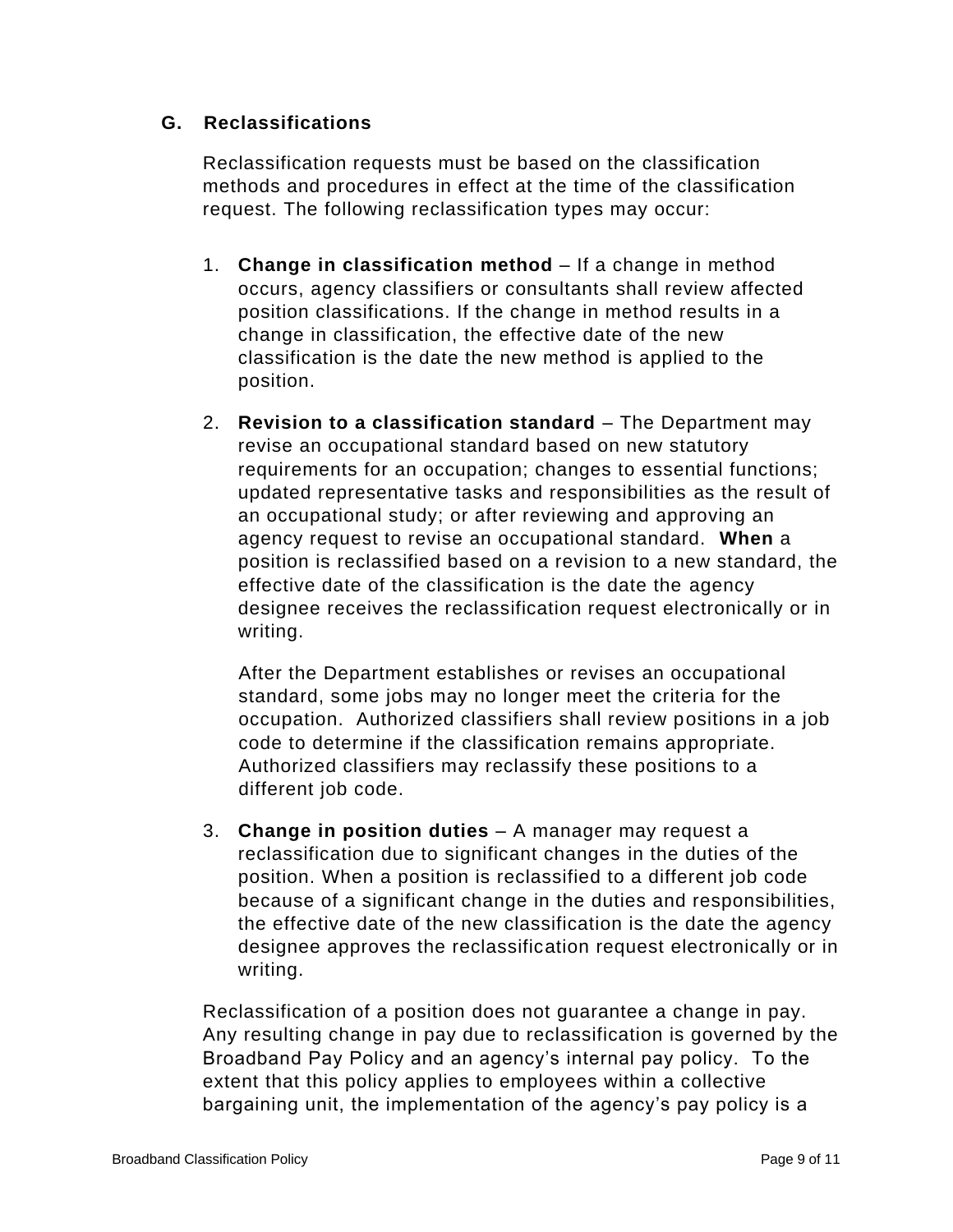#### **G. Reclassifications**

Reclassification requests must be based on the classification methods and procedures in effect at the time of the classification request. The following reclassification types may occur:

- 1. **Change in classification method** If a change in method occurs, agency classifiers or consultants shall review affected position classifications. If the change in method results in a change in classification, the effective date of the new classification is the date the new method is applied to the position.
- 2. **Revision to a classification standard** The Department may revise an occupational standard based on new statutory requirements for an occupation; changes to essential functions; updated representative tasks and responsibilities as the result of an occupational study; or after reviewing and approving an agency request to revise an occupational standard. **When** a position is reclassified based on a revision to a new standard, the effective date of the classification is the date the agency designee receives the reclassification request electronically or in writing.

After the Department establishes or revises an occupational standard, some jobs may no longer meet the criteria for the occupation. Authorized classifiers shall review positions in a job code to determine if the classification remains appropriate. Authorized classifiers may reclassify these positions to a different job code.

3. **Change in position duties** – A manager may request a reclassification due to significant changes in the duties of the position. When a position is reclassified to a different job code because of a significant change in the duties and responsibilities, the effective date of the new classification is the date the agency designee approves the reclassification request electronically or in writing.

Reclassification of a position does not guarantee a change in pay. Any resulting change in pay due to reclassification is governed by the Broadband Pay Policy and an agency's internal pay policy. To the extent that this policy applies to employees within a collective bargaining unit, the implementation of the agency's pay policy is a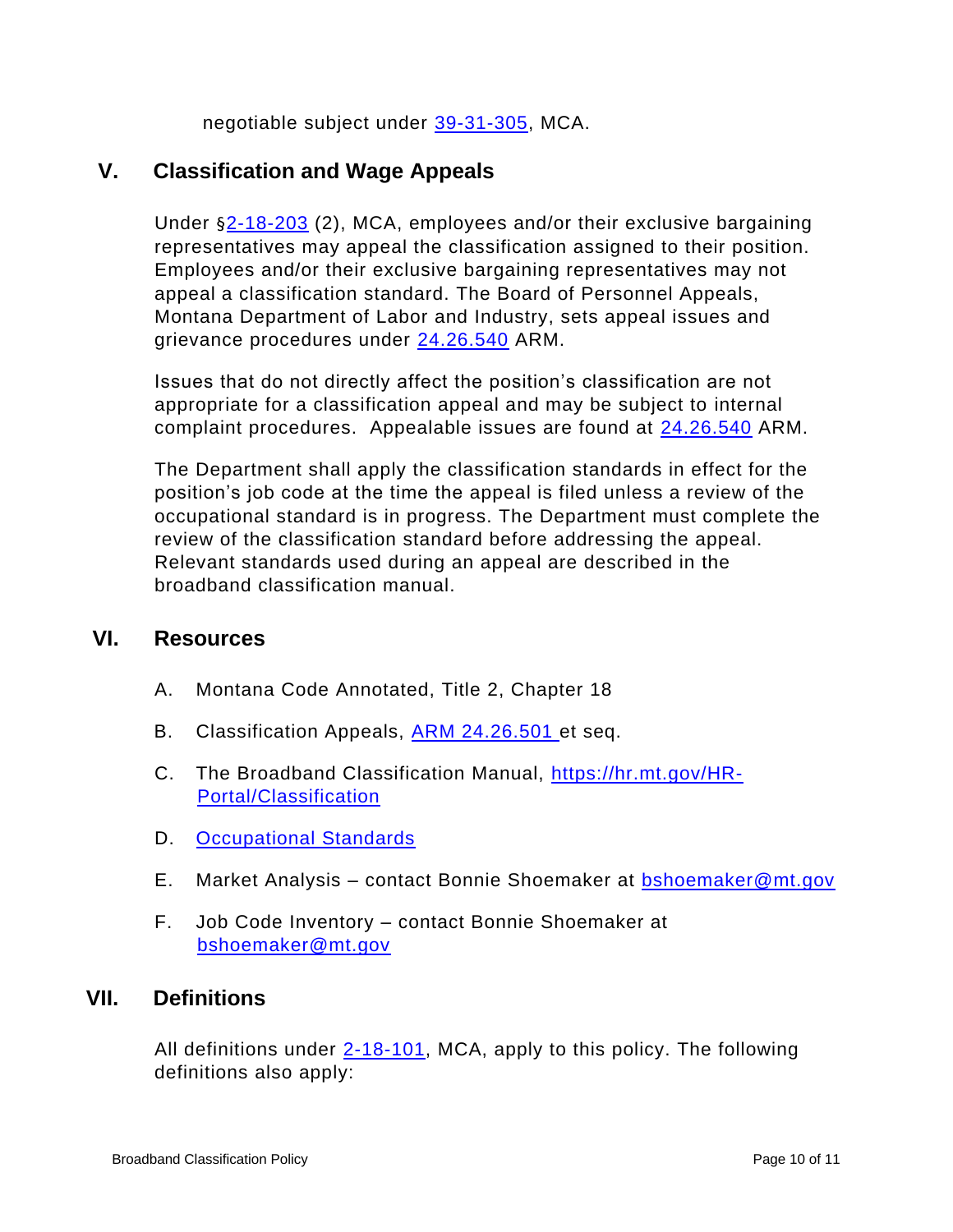negotiable subject under [39-31-305,](https://leg.mt.gov/bills/mca/title_0390/chapter_0310/part_0030/section_0050/0390-0310-0030-0050.html) MCA.

# **V. Classification and Wage Appeals**

Under §[2-18-203](https://leg.mt.gov/bills/mca/title_0020/chapter_0180/part_0020/section_0030/0020-0180-0020-0030.html) (2), MCA, employees and/or their exclusive bargaining representatives may appeal the classification assigned to their position. Employees and/or their exclusive bargaining representatives may not appeal a classification standard. The Board of Personnel Appeals, Montana Department of Labor and Industry, sets appeal issues and grievance procedures under [24.26.540](https://rules.mt.gov/gateway/RuleNo.asp?RN=24%2E26%2E540) ARM.

Issues that do not directly affect the position's classification are not appropriate for a classification appeal and may be subject to internal complaint procedures. Appealable issues are found at [24.26.540](https://rules.mt.gov/gateway/RuleNo.asp?RN=24%2E26%2E540) ARM.

The Department shall apply the classification standards in effect for the position's job code at the time the appeal is filed unless a review of the occupational standard is in progress. The Department must complete the review of the classification standard before addressing the appeal. Relevant standards used during an appeal are described in the broadband classification manual.

## **VI. Resources**

- A. Montana Code Annotated, Title 2, Chapter 18
- B. Classification Appeals, **ARM 24.26.501** et seq.
- C. The Broadband Classification Manual, [https://hr.mt.gov/HR-](https://hr.mt.gov/HR-Portal/Classification)[Portal/Classification](https://hr.mt.gov/HR-Portal/Classification)
- D. [Occupational Standards](http://hr.mine.mt.gov/filemanager?folderid=4021&view=gridview&pagesize=10&folderId=4021&pageSize=10)
- E. Market Analysis contact Bonnie Shoemaker at **bshoemaker@mt.gov**
- F. Job Code Inventory contact Bonnie Shoemaker at [bshoemaker@mt.gov](mailto:bshoemaker@mt.gov)

## **VII. Definitions**

All definitions under  $2-18-101$ , MCA, apply to this policy. The following definitions also apply: